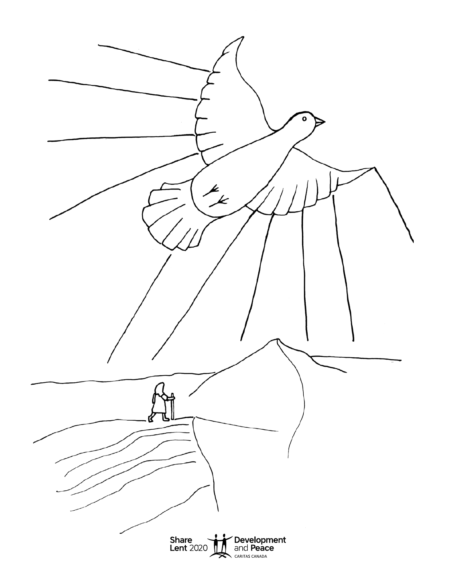